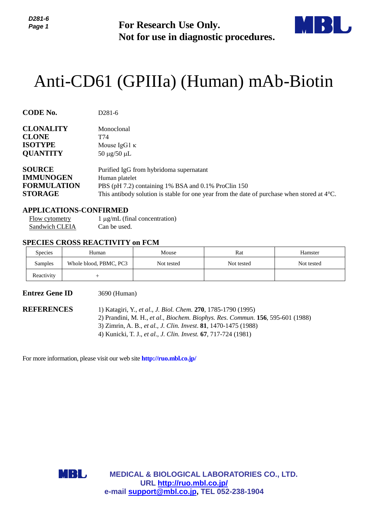

# Anti-CD61 (GPIIIa) (Human) mAb-Biotin

|                                                                                   | For Research Use Only.                                             |                                                                                                                                                                                                                                              |                                                                                                                                                                                                                                                                                                                                                                                                                                                                                                                                                                                                                                                                                                                                             |  |
|-----------------------------------------------------------------------------------|--------------------------------------------------------------------|----------------------------------------------------------------------------------------------------------------------------------------------------------------------------------------------------------------------------------------------|---------------------------------------------------------------------------------------------------------------------------------------------------------------------------------------------------------------------------------------------------------------------------------------------------------------------------------------------------------------------------------------------------------------------------------------------------------------------------------------------------------------------------------------------------------------------------------------------------------------------------------------------------------------------------------------------------------------------------------------------|--|
|                                                                                   |                                                                    |                                                                                                                                                                                                                                              |                                                                                                                                                                                                                                                                                                                                                                                                                                                                                                                                                                                                                                                                                                                                             |  |
| D <sub>281</sub> -6                                                               |                                                                    |                                                                                                                                                                                                                                              |                                                                                                                                                                                                                                                                                                                                                                                                                                                                                                                                                                                                                                                                                                                                             |  |
| <b>CLONALITY</b><br>Monoclonal<br>T74<br>$50 \mu g/50 \mu L$                      |                                                                    |                                                                                                                                                                                                                                              |                                                                                                                                                                                                                                                                                                                                                                                                                                                                                                                                                                                                                                                                                                                                             |  |
| <b>IMMUNOGEN</b><br><b>FORMULATION</b>                                            |                                                                    |                                                                                                                                                                                                                                              |                                                                                                                                                                                                                                                                                                                                                                                                                                                                                                                                                                                                                                                                                                                                             |  |
| <b>APPLICATIONS-CONFIRMED</b><br>Flow cytometry<br>Sandwich CLEIA<br>Can be used. |                                                                    |                                                                                                                                                                                                                                              |                                                                                                                                                                                                                                                                                                                                                                                                                                                                                                                                                                                                                                                                                                                                             |  |
|                                                                                   |                                                                    |                                                                                                                                                                                                                                              |                                                                                                                                                                                                                                                                                                                                                                                                                                                                                                                                                                                                                                                                                                                                             |  |
|                                                                                   |                                                                    |                                                                                                                                                                                                                                              | Hamster                                                                                                                                                                                                                                                                                                                                                                                                                                                                                                                                                                                                                                                                                                                                     |  |
|                                                                                   |                                                                    |                                                                                                                                                                                                                                              | Not tested                                                                                                                                                                                                                                                                                                                                                                                                                                                                                                                                                                                                                                                                                                                                  |  |
|                                                                                   |                                                                    |                                                                                                                                                                                                                                              |                                                                                                                                                                                                                                                                                                                                                                                                                                                                                                                                                                                                                                                                                                                                             |  |
| <b>REFERENCES</b>                                                                 |                                                                    |                                                                                                                                                                                                                                              |                                                                                                                                                                                                                                                                                                                                                                                                                                                                                                                                                                                                                                                                                                                                             |  |
|                                                                                   |                                                                    |                                                                                                                                                                                                                                              |                                                                                                                                                                                                                                                                                                                                                                                                                                                                                                                                                                                                                                                                                                                                             |  |
|                                                                                   |                                                                    |                                                                                                                                                                                                                                              |                                                                                                                                                                                                                                                                                                                                                                                                                                                                                                                                                                                                                                                                                                                                             |  |
|                                                                                   |                                                                    |                                                                                                                                                                                                                                              |                                                                                                                                                                                                                                                                                                                                                                                                                                                                                                                                                                                                                                                                                                                                             |  |
| MBL                                                                               |                                                                    |                                                                                                                                                                                                                                              |                                                                                                                                                                                                                                                                                                                                                                                                                                                                                                                                                                                                                                                                                                                                             |  |
|                                                                                   | Human<br>Whole blood, PBMC, PC3<br>$^{+}$<br><b>Entrez Gene ID</b> | Mouse $IgG1 \kappa$<br>Human platelet<br>$1 \mu g/mL$ (final concentration)<br><b>SPECIES CROSS REACTIVITY on FCM</b><br>Mouse<br>Not tested<br>3690 (Human)<br>For more information, please visit our web site <b>http://ruo.mbl.co.jp/</b> | Not for use in diagnostic procedures.<br>Anti-CD61 (GPIIIa) (Human) mAb-Biotin<br>Purified IgG from hybridoma supernatant<br>PBS (pH 7.2) containing 1% BSA and 0.1% ProClin 150<br>This antibody solution is stable for one year from the date of purchase when stored at $4^{\circ}$ C.<br>Rat<br>Not tested<br>1) Katagiri, Y., et al., J. Biol. Chem. 270, 1785-1790 (1995)<br>2) Prandini, M. H., et al., Biochem. Biophys. Res. Commun. 156, 595-601 (1988)<br>3) Zimrin, A. B., et al., J. Clin. Invest. 81, 1470-1475 (1988)<br>4) Kunicki, T. J., et al., J. Clin. Invest. 67, 717-724 (1981)<br><b>MEDICAL &amp; BIOLOGICAL LABORATORIES CO., LTD.</b><br>URL http://ruo.mbl.co.jp/<br>e-mail support@mbl.co.jp, TEL 052-238-1904 |  |

# **APPLICATIONS-CONFIRMED**

## **SPECIES CROSS REACTIVITY on FCM**

| <b>Species</b> | Human                  | Mouse      | Rat        | Hamster    |
|----------------|------------------------|------------|------------|------------|
| Samples        | Whole blood, PBMC, PC3 | Not tested | Not tested | Not tested |
| Reactivity     |                        |            |            |            |

#### **Entrez Gene ID** 3690 (Human)

- 3) Zimrin, A. B., *et al., J. Clin. Invest*. **81**, 1470-1475 (1988)
- 4) Kunicki, T. J., *et al*., *J. Clin. Invest.* **67**, 717-724 (1981)

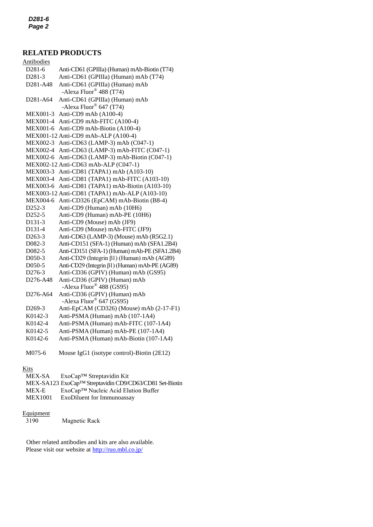# **RELATED PRODUCTS**

| <b>Antibodies</b>                 |                                               |
|-----------------------------------|-----------------------------------------------|
| D281-6                            | Anti-CD61 (GPIIIa) (Human) mAb-Biotin (T74)   |
| D281-3                            | Anti-CD61 (GPIIIa) (Human) mAb (T74)          |
| D281-A48                          | Anti-CD61 (GPIIIa) (Human) mAb                |
|                                   | -Alexa Fluor <sup>®</sup> 488 (T74)           |
| D <sub>281</sub> -A <sub>64</sub> | Anti-CD61 (GPIIIa) (Human) mAb                |
|                                   | -Alexa Fluor® 647 (T74)                       |
| <b>MEX001-3</b>                   | Anti-CD9 mAb (A100-4)                         |
| <b>MEX001-4</b>                   | Anti-CD9 mAb-FITC (A100-4)                    |
| <b>MEX001-6</b>                   | Anti-CD9 mAb-Biotin (A100-4)                  |
|                                   | MEX001-12 Anti-CD9 mAb-ALP (A100-4)           |
| <b>MEX002-3</b>                   | Anti-CD63 (LAMP-3) mAb (C047-1)               |
| <b>MEX002-4</b>                   | Anti-CD63 (LAMP-3) mAb-FITC (C047-1)          |
| <b>MEX002-6</b>                   | Anti-CD63 (LAMP-3) mAb-Biotin (C047-1)        |
|                                   | MEX002-12 Anti-CD63 mAb-ALP (C047-1)          |
| <b>MEX003-3</b>                   | Anti-CD81 (TAPA1) mAb (A103-10)               |
| <b>MEX003-4</b>                   | Anti-CD81 (TAPA1) mAb-FITC (A103-10)          |
| <b>MEX003-6</b>                   | Anti-CD81 (TAPA1) mAb-Biotin (A103-10)        |
|                                   | MEX003-12 Anti-CD81 (TAPA1) mAb-ALP (A103-10) |
| <b>MEX004-6</b>                   | Anti-CD326 (EpCAM) mAb-Biotin (B8-4)          |
| D <sub>252</sub> -3               | Anti-CD9 (Human) mAb (10H6)                   |
| D252-5                            | Anti-CD9 (Human) mAb-PE (10H6)                |
| D131-3                            | Anti-CD9 (Mouse) mAb (JF9)                    |
| D131-4                            | Anti-CD9 (Mouse) mAb-FITC (JF9)               |
| D <sub>263</sub> -3               | Anti-CD63 (LAMP-3) (Mouse) mAb (R5G2.1)       |
| D082-3                            | Anti-CD151 (SFA-1) (Human) mAb (SFA1.2B4)     |
| D082-5                            | Anti-CD151 (SFA-1) (Human) mAb-PE (SFA1.2B4)  |
| D050-3                            | Anti-CD29 (Integrin β1) (Human) mAb (AG89)    |
| D050-5                            | Anti-CD29 (Integrin β1) (Human) mAb-PE (AG89) |
| D276-3                            | Anti-CD36 (GPIV) (Human) mAb (GS95)           |
| D276-A48                          | Anti-CD36 (GPIV) (Human) mAb                  |
|                                   | -Alexa Fluor® 488 (GS95)                      |
| D276-A64                          | Anti-CD36 (GPIV) (Human) mAb                  |
|                                   | -Alexa Fluor® 647 (GS95)                      |
| D <sub>269</sub> -3               | Anti-EpCAM (CD326) (Mouse) mAb (2-17-F1)      |
| K0142-3                           | Anti-PSMA (Human) mAb (107-1A4)               |
| K0142-4                           | Anti-PSMA (Human) mAb-FITC (107-1A4)          |
| K0142-5                           | Anti-PSMA (Human) mAb-PE (107-1A4)            |
| K0142-6                           | Anti-PSMA (Human) mAb-Biotin (107-1A4)        |
|                                   |                                               |

M075-6 Mouse IgG1 (isotype control)-Biotin (2E12)

# Kits

| MEX-SA         | $ExoCap^{TM}$ Streptavidin Kit                          |
|----------------|---------------------------------------------------------|
|                | MEX-SA123 ExoCap™ Streptavidin CD9/CD63/CD81 Set-Biotin |
| MEX-E          | ExoCap <sup>™</sup> Nucleic Acid Elution Buffer         |
| <b>MEX1001</b> | ExoDiluent for Immunoassay                              |

# Equipment<br>3190

Magnetic Rack

Other related antibodies and kits are also available. Please visit our website at<http://ruo.mbl.co.jp/>